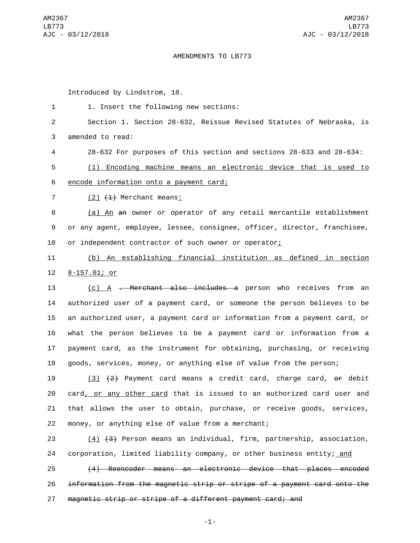## AMENDMENTS TO LB773

Introduced by Lindstrom, 18.

1 1. Insert the following new sections: Section 1. Section 28-632, Reissue Revised Statutes of Nebraska, is 3 amended to read: 28-632 For purposes of this section and sections 28-633 and 28-634: (1) Encoding machine means an electronic device that is used to 6 encode information onto a payment card; (2)  $(4)$  Merchant means: (a) An an owner or operator of any retail mercantile establishment or any agent, employee, lessee, consignee, officer, director, franchisee, or independent contractor of such owner or operator; (b) An establishing financial institution as defined in section 12 8-157.01; or 13 (c) A <del>. Merchant also includes a</del> person who receives from an authorized user of a payment card, or someone the person believes to be an authorized user, a payment card or information from a payment card, or what the person believes to be a payment card or information from a payment card, as the instrument for obtaining, purchasing, or receiving goods, services, money, or anything else of value from the person;

19 (3)  $\{2\}$  Payment card means a credit card, charge card,  $\Theta$  debit 20 card, or any other card that is issued to an authorized card user and 21 that allows the user to obtain, purchase, or receive goods, services, 22 money, or anything else of value from a merchant;

23 (4) (3) Person means an individual, firm, partnership, association, 24 corporation, limited liability company, or other business entity; and

25 (4) Reencoder means an electronic device that places encoded 26 information from the magnetic strip or stripe of a payment card onto the 27 magnetic strip or stripe of a different payment card; and

-1-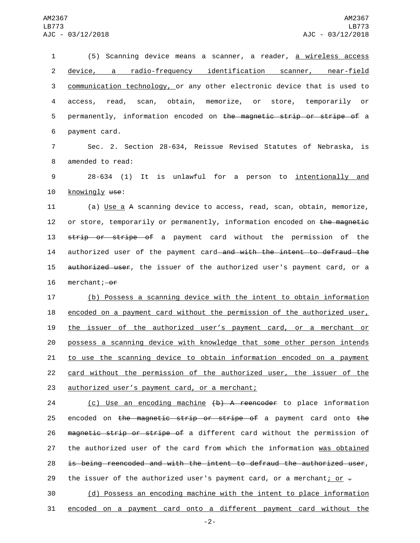1 (5) Scanning device means a scanner, a reader, a wireless access 2 device, a radio-frequency identification scanner, near-field 3 communication technology, or any other electronic device that is used to 4 access, read, scan, obtain, memorize, or store, temporarily or 5 permanently, information encoded on the magnetic strip or stripe of a 6 payment card.

7 Sec. 2. Section 28-634, Reissue Revised Statutes of Nebraska, is 8 amended to read:

9 28-634 (1) It is unlawful for a person to <u>intentionally and</u> 10 knowingly use:

11 (a) Use a A scanning device to access, read, scan, obtain, memorize, 12 or store, temporarily or permanently, information encoded on the magnetic 13 strip or stripe of a payment card without the permission of the 14 authorized user of the payment card and with the intent to defraud the 15 authorized user, the issuer of the authorized user's payment card, or a 16 merchant; $-0f$ 

 (b) Possess a scanning device with the intent to obtain information encoded on a payment card without the permission of the authorized user, the issuer of the authorized user's payment card, or a merchant or possess a scanning device with knowledge that some other person intends 21 to use the scanning device to obtain information encoded on a payment card without the permission of the authorized user, the issuer of the 23 authorized user's payment card, or a merchant;

24 (c) Use an encoding machine (b) A reencoder to place information 25 encoded on the magnetic strip or stripe of a payment card onto the 26 magnetic strip or stripe of a different card without the permission of 27 the authorized user of the card from which the information was obtained 28 is being reencoded and with the intent to defraud the authorized user, 29 the issuer of the authorized user's payment card, or a merchant; or  $\overline{z}$ 

30 (d) Possess an encoding machine with the intent to place information 31 encoded on a payment card onto a different payment card without the

-2-